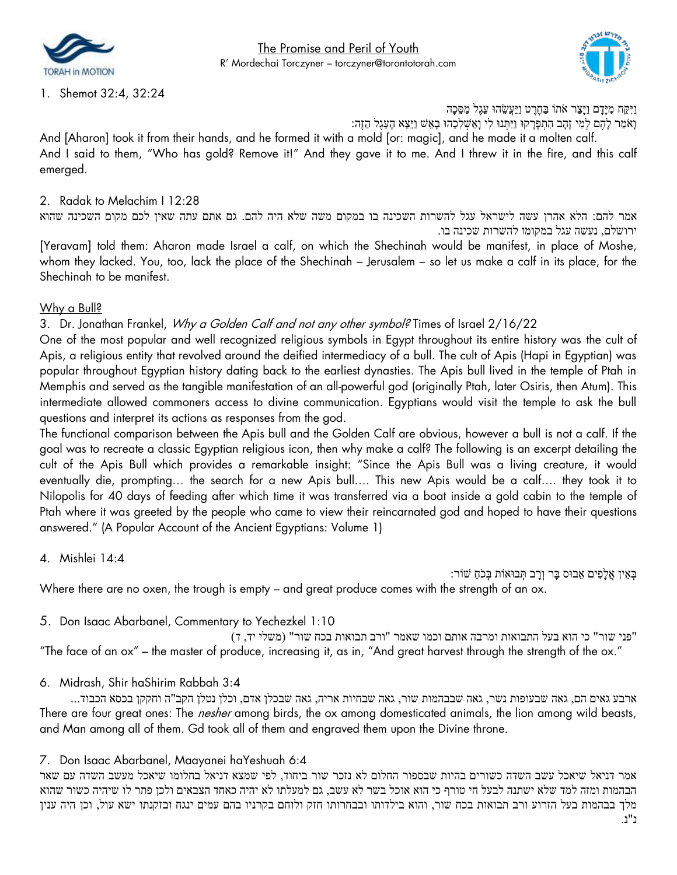



1. Shemot 32:4, 32:24

וַיִּקַח מִּ יָּדָּ ם וַיָּצַר אֹתֹו בַחֶרֶ ט וַיַעֲשֵׂ הּו עֵׂגֶל מַ סֵׂ כָּה

וָּאֹמַ ר לָּהֶם לְמִּ י זָּהָּב הִּ תְ פָּרָּ קּו וַיִּתְ נּו לִּי וָּאַ שְ לִּכֵׂהּו בָּאֵׂ ש וַיֵׂצֵׂא הָּעֵׂגֶ ל הַזֶה:

And [Aharon] took it from their hands, and he formed it with a mold [or: magic], and he made it a molten calf. And I said to them, "Who has gold? Remove it!" And they gave it to me. And I threw it in the fire, and this calf emerged.

### 2. Radak to Melachim I 12:28

אמר להם: הלא אהרן עשה לישראל עגל להשרות השכינה בו במקום משה שלא היה להם. גם אתם עתה שאין לכם מקום השכינה שהוא ירושלם, נעשה עגל במקומו להשרות שכינה בו.

[Yeravam] told them: Aharon made Israel a calf, on which the Shechinah would be manifest, in place of Moshe, whom they lacked. You, too, lack the place of the Shechinah – Jerusalem – so let us make a calf in its place, for the Shechinah to be manifest.

#### Why a Bull?

## 3. Dr. Jonathan Frankel, Why a Golden Calf and not any other symbol? Times of Israel 2/16/22

One of the most popular and well recognized religious symbols in Egypt throughout its entire history was the cult of Apis, a religious entity that revolved around the deified intermediacy of a bull. The cult of Apis (Hapi in Egyptian) was popular throughout Egyptian history dating back to the earliest dynasties. The Apis bull lived in the temple of Ptah in Memphis and served as the tangible manifestation of an all-powerful god (originally Ptah, later Osiris, then Atum). This intermediate allowed commoners access to divine communication. Egyptians would visit the temple to ask the bull questions and interpret its actions as responses from the god.

The functional comparison between the Apis bull and the Golden Calf are obvious, however a bull is not a calf. If the goal was to recreate a classic Egyptian religious icon, then why make a calf? The following is an excerpt detailing the cult of the Apis Bull which provides a remarkable insight: "Since the Apis Bull was a living creature, it would eventually die, prompting… the search for a new Apis bull…. This new Apis would be a calf…. they took it to Nilopolis for 40 days of feeding after which time it was transferred via a boat inside a gold cabin to the temple of Ptah where it was greeted by the people who came to view their reincarnated god and hoped to have their questions answered." (A Popular Account of the Ancient Egyptians: Volume 1)

4. Mishlei 14:4

ּ בְּאֵין אֱלָפִים אֵבוּס בַּר וְרַב תְּבוּאוֹת בְּכֹחַ שׁוֹר: Where there are no oxen, the trough is empty – and great produce comes with the strength of an ox.

5. Don Isaac Abarbanel, Commentary to Yechezkel 1:10

"פני שור" כי הוא בעל התבואות ומרבה אותם וכמו שאמר " ורב תבואות בכח שור" )משלי יד, ד( "The face of an ox" – the master of produce, increasing it, as in, "And great harvest through the strength of the ox."

#### 6. Midrash, Shir haShirim Rabbah 3:4

ארבע גאים הם, גאה שבעופות נשר, גאה שבבהמות שור, גאה שבחיות אריה, גאה שבכלן אדם, וכלן נטלן הקב"ה וחקקן בכסא הכבוד... There are four great ones: The *nesher* among birds, the ox among domesticated animals, the lion among wild beasts, and Man among all of them. Gd took all of them and engraved them upon the Divine throne.

#### 7. Don Isaac Abarbanel, Maayanei haYeshuah 6:4

אמר דניאל שיאכל עשב השדה כשורים בהיות שבספור החלום לא נזכר שור ביחוד, לפי שמצא דניאל בחלומו שיאכל מעשב השדה עם שאר הבהמות ומזה למד שלא ישתנה לבעל חי טורף כי הוא אוכל בשר לא עשב, גם למעלתו לא יהיה כאחד הצבאים ולכן פתר לו שיהיה כשור שהוא מלך בבהמות בעל הזרוע ורב תבואות בכח שור, והוא בילדותו ובבחרותו חזק ולוחם בקרניו בהם עמים ינגח ובזקנתו ישא עול, וכן היה ענין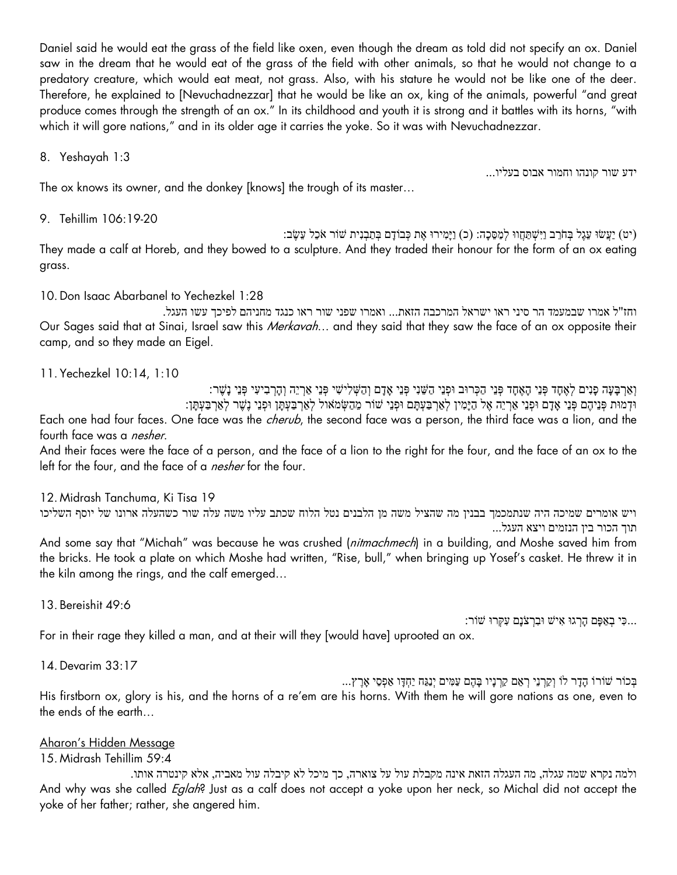Daniel said he would eat the grass of the field like oxen, even though the dream as told did not specify an ox. Daniel saw in the dream that he would eat of the grass of the field with other animals, so that he would not change to a predatory creature, which would eat meat, not grass. Also, with his stature he would not be like one of the deer. Therefore, he explained to [Nevuchadnezzar] that he would be like an ox, king of the animals, powerful "and great produce comes through the strength of an ox." In its childhood and youth it is strong and it battles with its horns, "with which it will gore nations," and in its older age it carries the yoke. So it was with Nevuchadnezzar.

8. Yeshayah 1:3

ידע שור קונהו וחמור אבוס בעליו...

The ox knows its owner, and the donkey [knows] the trough of its master…

9. Tehillim 106:19-20

יט) יַעֲשׂוּ עֵגֶל בְּחֹרֵב וַיִּשְׁתַּחֲווּ לְמַסֵּכָה: (כ) וַיָּמִירוּ אֶת כְּבוֹדָם בְּתַבְנִית שׁוֹר אֹכֵל עֵשֶׂב: They made a calf at Horeb, and they bowed to a sculpture. And they traded their honour for the form of an ox eating grass.

10.Don Isaac Abarbanel to Yechezkel 1:28

the kiln among the rings, and the calf emerged…

וחז"ל אמרו שבמעמד הר סיני ראו ישראל המרכבה הזאת... ואמרו שפני שור ראו כנגד מחניהם לפיכך עשו העגל. Our Sages said that at Sinai, Israel saw this Merkavah... and they said that they saw the face of an ox opposite their camp, and so they made an Eigel.

11. Yechezkel 10:14, 1:10

ּוֹ הַרְבִיעִי פְּנֵי נָשֶׁר: הַאֶחָד פְּנֵי הַאֶחָד פְּנֵי הַכְּרוּב וּפְנֵי הַשֵּׁנִי פְּנֵי הַכְּבֹי הַכְּבִי נִ וּדְמוּת פְּנֵיהֶם פְּנֵי אֶדָם וּפְנֵי אַרְיֵה אֶל הַיַּמְין לְאַרְבַעְתָּם וּפְנֵי שׁוֹר מֶהַשְׂמֹאול לְאַרְבַעְתַּן וּפְנֵי נֵשֶׁר לְאַרְבַעְתַּן: Each one had four faces. One face was the *cherub*, the second face was a person, the third face was a lion, and the fourth face was a *nesher*.

And their faces were the face of a person, and the face of a lion to the right for the four, and the face of an ox to the left for the four, and the face of a *nesher* for the four.

12. Midrash Tanchuma, Ki Tisa 19 ויש אומרים שמיכה היה שנתמכמך בבנין מה שהציל משה מן הלבנים נטל הלוח שכתב עליו משה עלה שור כשהעלה ארונו של יוסף השליכו תוך הכור בין הנזמים ויצא העגל... And some say that "Michah" was because he was crushed (nitmachmech) in a building, and Moshe saved him from the bricks. He took a plate on which Moshe had written, "Rise, bull," when bringing up Yosef's casket. He threw it in

13. Bereishit 49:6

...כִּי בְאַפָּם הָרְגוּ אִישׁ וּבִרְצֹנָם עִקְרוּ שׁוֹר:

For in their rage they killed a man, and at their will they [would have] uprooted an ox.

14.Devarim 33:17

ָבְּכֹוֹר שׁוֹרוֹ הָדָר לוֹ וְקַרְנֵי רְאֵם קַרְנָיו בָּהֶם עַמִּים יְנַגַּח יַחְדָּו אַפְסֵי אָרֵץ... His firstborn ox, glory is his, and the horns of a re'em are his horns. With them he will gore nations as one, even to the ends of the earth…

# Aharon's Hidden Message

15. Midrash Tehillim 59:4

ולמה נקרא שמה עגלה, מה העגלה הזאת אינה מקבלת עול על צוארה, כך מיכל לא קיבלה עול מאביה, אלא קינטרה אותו. And why was she called *Eglah*? Just as a calf does not accept a yoke upon her neck, so Michal did not accept the yoke of her father; rather, she angered him.